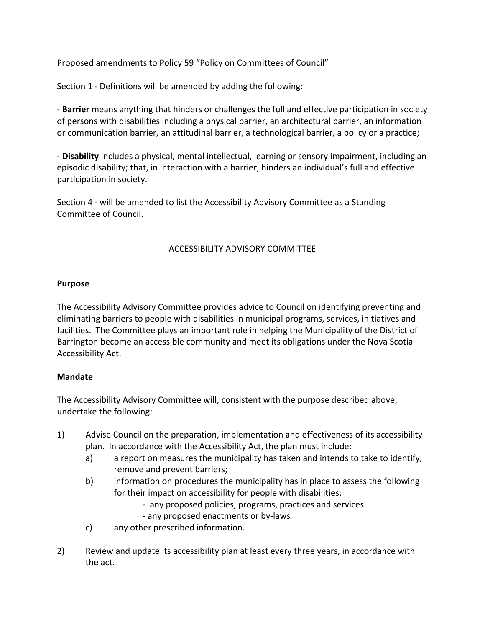Proposed amendments to Policy 59 "Policy on Committees of Council"

Section 1 - Definitions will be amended by adding the following:

- **Barrier** means anything that hinders or challenges the full and effective participation in society of persons with disabilities including a physical barrier, an architectural barrier, an information or communication barrier, an attitudinal barrier, a technological barrier, a policy or a practice;

- **Disability** includes a physical, mental intellectual, learning or sensory impairment, including an episodic disability; that, in interaction with a barrier, hinders an individual's full and effective participation in society.

Section 4 - will be amended to list the Accessibility Advisory Committee as a Standing Committee of Council.

# ACCESSIBILITY ADVISORY COMMITTEE

### **Purpose**

The Accessibility Advisory Committee provides advice to Council on identifying preventing and eliminating barriers to people with disabilities in municipal programs, services, initiatives and facilities. The Committee plays an important role in helping the Municipality of the District of Barrington become an accessible community and meet its obligations under the Nova Scotia Accessibility Act.

## **Mandate**

The Accessibility Advisory Committee will, consistent with the purpose described above, undertake the following:

- 1) Advise Council on the preparation, implementation and effectiveness of its accessibility plan. In accordance with the Accessibility Act, the plan must include:
	- a) a report on measures the municipality has taken and intends to take to identify, remove and prevent barriers;
	- b) information on procedures the municipality has in place to assess the following for their impact on accessibility for people with disabilities:
		- any proposed policies, programs, practices and services
		- any proposed enactments or by-laws
	- c) any other prescribed information.
- 2) Review and update its accessibility plan at least every three years, in accordance with the act.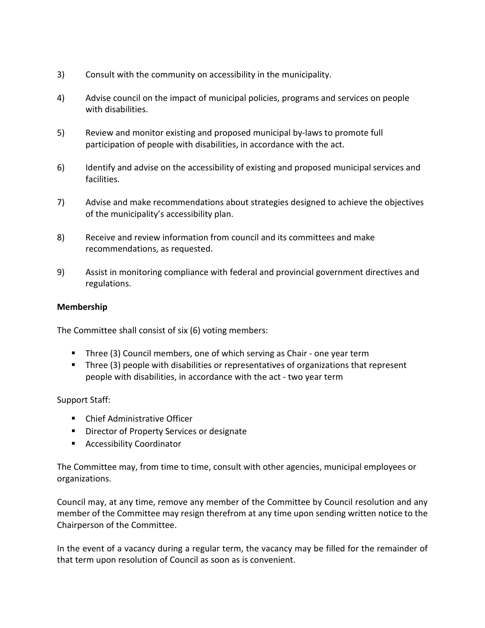- 3) Consult with the community on accessibility in the municipality.
- 4) Advise council on the impact of municipal policies, programs and services on people with disabilities.
- 5) Review and monitor existing and proposed municipal by-laws to promote full participation of people with disabilities, in accordance with the act.
- 6) Identify and advise on the accessibility of existing and proposed municipal services and facilities.
- 7) Advise and make recommendations about strategies designed to achieve the objectives of the municipality's accessibility plan.
- 8) Receive and review information from council and its committees and make recommendations, as requested.
- 9) Assist in monitoring compliance with federal and provincial government directives and regulations.

### **Membership**

The Committee shall consist of six (6) voting members:

- Three (3) Council members, one of which serving as Chair one year term
- **Three (3) people with disabilities or representatives of organizations that represent** people with disabilities, in accordance with the act - two year term

#### Support Staff:

- **EXECUTE:** Chief Administrative Officer
- **Director of Property Services or designate**
- **Accessibility Coordinator**

The Committee may, from time to time, consult with other agencies, municipal employees or organizations.

Council may, at any time, remove any member of the Committee by Council resolution and any member of the Committee may resign therefrom at any time upon sending written notice to the Chairperson of the Committee.

In the event of a vacancy during a regular term, the vacancy may be filled for the remainder of that term upon resolution of Council as soon as is convenient.